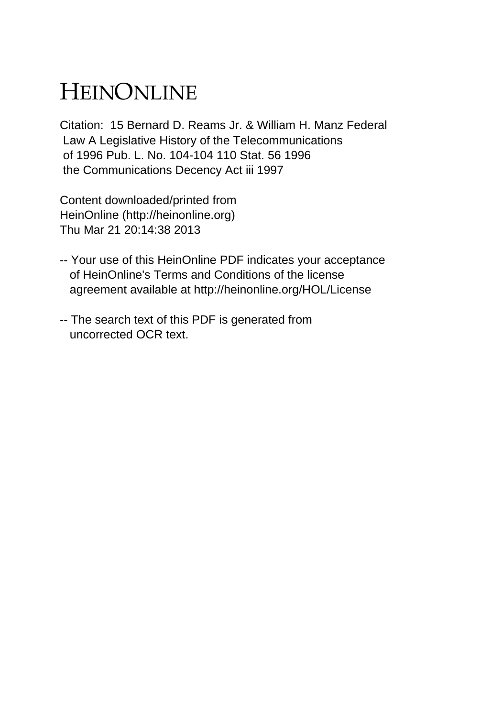## HEINONLINE

Citation: 15 Bernard D. Reams Jr. & William H. Manz Federal Law A Legislative History of the Telecommunications of 1996 Pub. L. No. 104-104 110 Stat. 56 1996 the Communications Decency Act iii 1997

Content downloaded/printed from HeinOnline (http://heinonline.org) Thu Mar 21 20:14:38 2013

- -- Your use of this HeinOnline PDF indicates your acceptance of HeinOnline's Terms and Conditions of the license agreement available at http://heinonline.org/HOL/License
- -- The search text of this PDF is generated from uncorrected OCR text.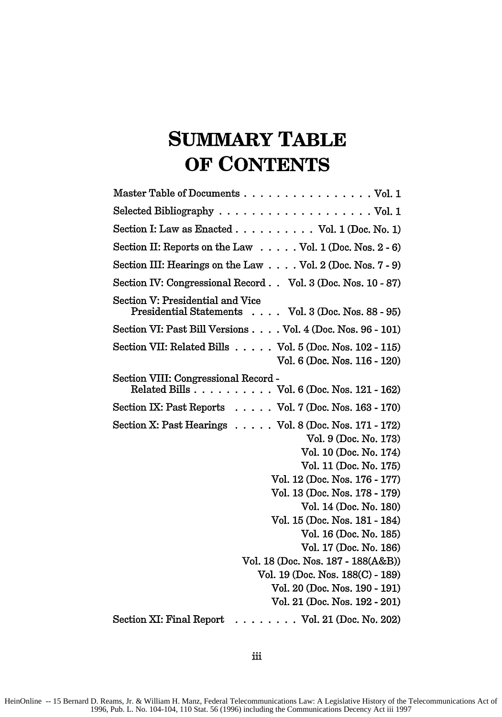## **SUMMARY TABLE OF CONTENTS**

| Master Table of Documents Vol. 1                                                                                                                                                                                                                                                                                                                                                                                                                   |
|----------------------------------------------------------------------------------------------------------------------------------------------------------------------------------------------------------------------------------------------------------------------------------------------------------------------------------------------------------------------------------------------------------------------------------------------------|
|                                                                                                                                                                                                                                                                                                                                                                                                                                                    |
| Section I: Law as Enacted $\ldots \ldots \ldots$ Vol. 1 (Doc. No. 1)                                                                                                                                                                                                                                                                                                                                                                               |
| Section II: Reports on the Law $\dots$ . Vol. 1 (Doc. Nos. 2 - 6)                                                                                                                                                                                                                                                                                                                                                                                  |
| Section III: Hearings on the Law Vol. 2 (Doc. Nos. 7 - 9)                                                                                                                                                                                                                                                                                                                                                                                          |
| Section IV: Congressional Record Vol. 3 (Doc. Nos. 10 - 87)                                                                                                                                                                                                                                                                                                                                                                                        |
| Section V: Presidential and Vice<br>Presidential Statements Vol. 3 (Doc. Nos. 88 - 95)                                                                                                                                                                                                                                                                                                                                                             |
| Section VI: Past Bill Versions Vol. 4 (Doc. Nos. 96 - 101)                                                                                                                                                                                                                                                                                                                                                                                         |
| Section VII: Related Bills Vol. 5 (Doc. Nos. 102 - 115)<br>Vol. 6 (Doc. Nos. 116 - 120)                                                                                                                                                                                                                                                                                                                                                            |
| Section VIII: Congressional Record -<br>Related Bills $\ldots \ldots \ldots \ldots$ Vol. 6 (Doc. Nos. 121 - 162)                                                                                                                                                                                                                                                                                                                                   |
| Section IX: Past Reports $\ldots$ . Vol. 7 (Doc. Nos. 163 - 170)                                                                                                                                                                                                                                                                                                                                                                                   |
| Section X: Past Hearings $\ldots$ . $\ldots$ Vol. 8 (Doc. Nos. 171 - 172)<br>Vol. 9 (Doc. No. 173)<br>Vol. 10 (Doc. No. 174)<br>Vol. 11 (Doc. No. 175)<br>Vol. 12 (Doc. Nos. 176 - 177)<br>Vol. 13 (Doc. Nos. 178 - 179)<br>Vol. 14 (Doc. No. 180)<br>Vol. 15 (Doc. Nos. 181 - 184)<br>Vol. 16 (Doc. No. 185)<br>Vol. 17 (Doc. No. 186)<br>Vol. 18 (Doc. Nos. 187 - 188(A&B))<br>Vol. 19 (Doc. Nos. 188(C) - 189)<br>Vol. 20 (Doc. Nos. 190 - 191) |
| Vol. 21 (Doc. Nos. 192 - 201)<br>Section XI: Final Report<br>$\ldots \ldots \ldots$ Vol. 21 (Doc. No. 202)                                                                                                                                                                                                                                                                                                                                         |